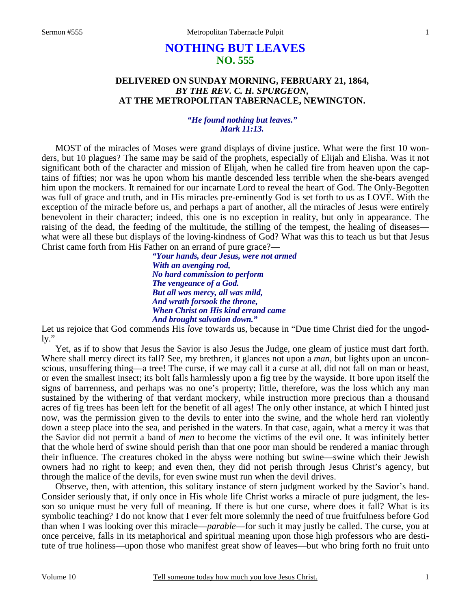# **NOTHING BUT LEAVES NO. 555**

## **DELIVERED ON SUNDAY MORNING, FEBRUARY 21, 1864,**  *BY THE REV. C. H. SPURGEON,*  **AT THE METROPOLITAN TABERNACLE, NEWINGTON.**

### *"He found nothing but leaves." Mark 11:13.*

MOST of the miracles of Moses were grand displays of divine justice. What were the first 10 wonders, but 10 plagues? The same may be said of the prophets, especially of Elijah and Elisha. Was it not significant both of the character and mission of Elijah, when he called fire from heaven upon the captains of fifties; nor was he upon whom his mantle descended less terrible when the she-bears avenged him upon the mockers. It remained for our incarnate Lord to reveal the heart of God. The Only-Begotten was full of grace and truth, and in His miracles pre-eminently God is set forth to us as LOVE. With the exception of the miracle before us, and perhaps a part of another, all the miracles of Jesus were entirely benevolent in their character; indeed, this one is no exception in reality, but only in appearance. The raising of the dead, the feeding of the multitude, the stilling of the tempest, the healing of diseases what were all these but displays of the loving-kindness of God? What was this to teach us but that Jesus Christ came forth from His Father on an errand of pure grace?—

*"Your hands, dear Jesus, were not armed With an avenging rod, No hard commission to perform The vengeance of a God. But all was mercy, all was mild, And wrath forsook the throne, When Christ on His kind errand came And brought salvation down."* 

Let us rejoice that God commends His *love* towards us, because in "Due time Christ died for the ungod- $\mathop{\text{ly}}\nolimits$ ."

Yet, as if to show that Jesus the Savior is also Jesus the Judge, one gleam of justice must dart forth. Where shall mercy direct its fall? See, my brethren, it glances not upon a *man,* but lights upon an unconscious, unsuffering thing—a tree! The curse, if we may call it a curse at all, did not fall on man or beast, or even the smallest insect; its bolt falls harmlessly upon a fig tree by the wayside. It bore upon itself the signs of barrenness, and perhaps was no one's property; little, therefore, was the loss which any man sustained by the withering of that verdant mockery, while instruction more precious than a thousand acres of fig trees has been left for the benefit of all ages! The only other instance, at which I hinted just now, was the permission given to the devils to enter into the swine, and the whole herd ran violently down a steep place into the sea, and perished in the waters. In that case, again, what a mercy it was that the Savior did not permit a band of *men* to become the victims of the evil one. It was infinitely better that the whole herd of swine should perish than that one poor man should be rendered a maniac through their influence. The creatures choked in the abyss were nothing but swine—swine which their Jewish owners had no right to keep; and even then, they did not perish through Jesus Christ's agency, but through the malice of the devils, for even swine must run when the devil drives.

Observe, then, with attention, this solitary instance of stern judgment worked by the Savior's hand. Consider seriously that, if only once in His whole life Christ works a miracle of pure judgment, the lesson so unique must be very full of meaning. If there is but one curse, where does it fall? What is its symbolic teaching? I do not know that I ever felt more solemnly the need of true fruitfulness before God than when I was looking over this miracle—*parable*—for such it may justly be called. The curse, you at once perceive, falls in its metaphorical and spiritual meaning upon those high professors who are destitute of true holiness—upon those who manifest great show of leaves—but who bring forth no fruit unto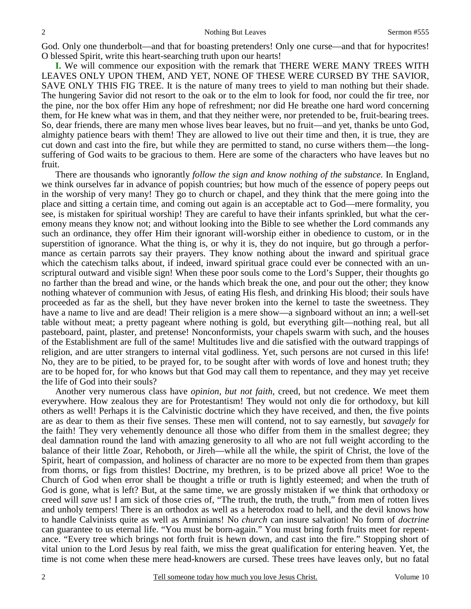God. Only one thunderbolt—and that for boasting pretenders! Only one curse—and that for hypocrites! O blessed Spirit, write this heart-searching truth upon our hearts!

**I.** We will commence our exposition with the remark that THERE WERE MANY TREES WITH LEAVES ONLY UPON THEM, AND YET, NONE OF THESE WERE CURSED BY THE SAVIOR, SAVE ONLY THIS FIG TREE. It is the nature of many trees to yield to man nothing but their shade. The hungering Savior did not resort to the oak or to the elm to look for food, nor could the fir tree, nor the pine, nor the box offer Him any hope of refreshment; nor did He breathe one hard word concerning them, for He knew what was in them, and that they neither were, nor pretended to be, fruit-bearing trees. So, dear friends, there are many men whose lives bear leaves, but no fruit—and yet, thanks be unto God, almighty patience bears with them! They are allowed to live out their time and then, it is true, they are cut down and cast into the fire, but while they are permitted to stand, no curse withers them—the longsuffering of God waits to be gracious to them. Here are some of the characters who have leaves but no fruit.

There are thousands who ignorantly *follow the sign and know nothing of the substance*. In England, we think ourselves far in advance of popish countries; but how much of the essence of popery peeps out in the worship of very many! They go to church or chapel, and they think that the mere going into the place and sitting a certain time, and coming out again is an acceptable act to God—mere formality, you see, is mistaken for spiritual worship! They are careful to have their infants sprinkled, but what the ceremony means they know not; and without looking into the Bible to see whether the Lord commands any such an ordinance, they offer Him their ignorant will-worship either in obedience to custom, or in the superstition of ignorance. What the thing is, or why it is, they do not inquire, but go through a performance as certain parrots say their prayers. They know nothing about the inward and spiritual grace which the cate chism talks about, if indeed, inward spiritual grace could ever be connected with an unscriptural outward and visible sign! When these poor souls come to the Lord's Supper, their thoughts go no farther than the bread and wine, or the hands which break the one, and pour out the other; they know nothing whatever of communion with Jesus, of eating His flesh, and drinking His blood; their souls have proceeded as far as the shell, but they have never broken into the kernel to taste the sweetness. They have a name to live and are dead! Their religion is a mere show—a signboard without an inn; a well-set table without meat; a pretty pageant where nothing is gold, but everything gilt—nothing real, but all pasteboard, paint, plaster, and pretense! Nonconformists, your chapels swarm with such, and the houses of the Establishment are full of the same! Multitudes live and die satisfied with the outward trappings of religion, and are utter strangers to internal vital godliness. Yet, such persons are not cursed in this life! No, they are to be pitied, to be prayed for, to be sought after with words of love and honest truth; they are to be hoped for, for who knows but that God may call them to repentance, and they may yet receive the life of God into their souls?

Another very numerous class have *opinion, but not faith,* creed, but not credence. We meet them everywhere. How zealous they are for Protestantism! They would not only die for orthodoxy, but kill others as well! Perhaps it is the Calvinistic doctrine which they have received, and then, the five points are as dear to them as their five senses. These men will contend, not to say earnestly, but *savagely* for the faith! They very vehemently denounce all those who differ from them in the smallest degree; they deal damnation round the land with amazing generosity to all who are not full weight according to the balance of their little Zoar, Rehoboth, or Jireh—while all the while, the spirit of Christ, the love of the Spirit, heart of compassion, and holiness of character are no more to be expected from them than grapes from thorns, or figs from thistles! Doctrine, my brethren, is to be prized above all price! Woe to the Church of God when error shall be thought a trifle or truth is lightly esteemed; and when the truth of God is gone, what is left? But, at the same time, we are grossly mistaken if we think that orthodoxy or creed will *save* us! I am sick of those cries of, "The truth, the truth, the truth," from men of rotten lives and unholy tempers! There is an orthodox as well as a heterodox road to hell, and the devil knows how to handle Calvinists quite as well as Arminians! No *church* can insure salvation! No form of *doctrine* can guarantee to us eternal life. "You must be born-again." You must bring forth fruits meet for repentance. "Every tree which brings not forth fruit is hewn down, and cast into the fire." Stopping short of vital union to the Lord Jesus by real faith, we miss the great qualification for entering heaven. Yet, the time is not come when these mere head-knowers are cursed. These trees have leaves only, but no fatal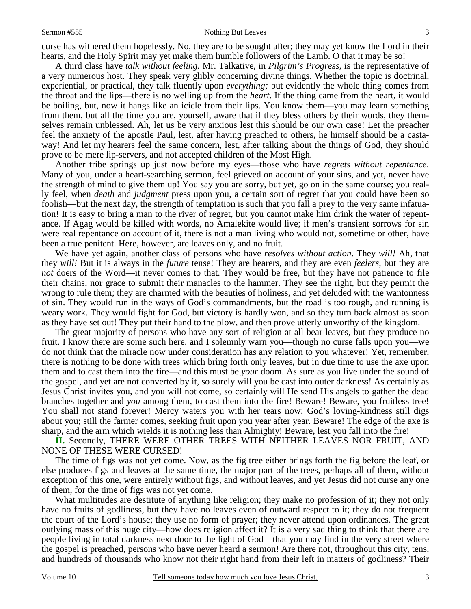#### Sermon #555 Nothing But Leaves

curse has withered them hopelessly. No, they are to be sought after; they may yet know the Lord in their hearts, and the Holy Spirit may yet make them humble followers of the Lamb. O that it may be so!

A third class have *talk without feeling.* Mr. Talkative, in *Pilgrim's Progress,* is the representative of a very numerous host. They speak very glibly concerning divine things. Whether the topic is doctrinal, experiential, or practical, they talk fluently upon *everything;* but evidently the whole thing comes from the throat and the lips—there is no welling up from the *heart*. If the thing came from the heart, it would be boiling, but, now it hangs like an icicle from their lips. You know them—you may learn something from them, but all the time you are, yourself, aware that if they bless others by their words, they themselves remain unblessed. Ah, let us be very anxious lest this should be our own case! Let the preacher feel the anxiety of the apostle Paul, lest, after having preached to others, he himself should be a castaway! And let my hearers feel the same concern, lest, after talking about the things of God, they should prove to be mere lip-servers, and not accepted children of the Most High.

Another tribe springs up just now before my eyes—those who have *regrets without repentance*. Many of you, under a heart-searching sermon, feel grieved on account of your sins, and yet, never have the strength of mind to give them up! You say you are sorry, but yet, go on in the same course; you really feel, when *death* and *judgment* press upon you, a certain sort of regret that you could have been so foolish—but the next day, the strength of temptation is such that you fall a prey to the very same infatuation! It is easy to bring a man to the river of regret, but you cannot make him drink the water of repentance. If Agag would be killed with words, no Amalekite would live; if men's transient sorrows for sin were real repentance on account of it, there is not a man living who would not, sometime or other, have been a true penitent. Here, however, are leaves only, and no fruit.

We have yet again, another class of persons who have *resolves without action*. They *will!* Ah, that they *will!* But it is always in the *future* tense! They are hearers, and they are even *feelers*, but they are *not* doers of the Word—it never comes to that. They would be free, but they have not patience to file their chains, nor grace to submit their manacles to the hammer. They see the right, but they permit the wrong to rule them; they are charmed with the beauties of holiness, and yet deluded with the wantonness of sin. They would run in the ways of God's commandments, but the road is too rough, and running is weary work. They would fight for God, but victory is hardly won, and so they turn back almost as soon as they have set out! They put their hand to the plow, and then prove utterly unworthy of the kingdom.

The great majority of persons who have any sort of religion at all bear leaves, but they produce no fruit. I know there are some such here, and I solemnly warn you—though no curse falls upon you—we do not think that the miracle now under consideration has any relation to you whatever! Yet, remember, there is nothing to be done with trees which bring forth only leaves, but in due time to use the axe upon them and to cast them into the fire—and this must be *your* doom. As sure as you live under the sound of the gospel, and yet are not converted by it, so surely will you be cast into outer darkness! As certainly as Jesus Christ invites you, and you will not come, so certainly will He send His angels to gather the dead branches together and *you* among them, to cast them into the fire! Beware! Beware, you fruitless tree! You shall not stand forever! Mercy waters you with her tears now; God's loving-kindness still digs about you; still the farmer comes, seeking fruit upon you year after year. Beware! The edge of the axe is sharp, and the arm which wields it is nothing less than Almighty! Beware, lest you fall into the fire!

**II.** Secondly, THERE WERE OTHER TREES WITH NEITHER LEAVES NOR FRUIT, AND NONE OF THESE WERE CURSED!

The time of figs was not yet come. Now, as the fig tree either brings forth the fig before the leaf, or else produces figs and leaves at the same time, the major part of the trees, perhaps all of them, without exception of this one, were entirely without figs, and without leaves, and yet Jesus did not curse any one of them, for the time of figs was not yet come.

What multitudes are destitute of anything like religion; they make no profession of it; they not only have no fruits of godliness, but they have no leaves even of outward respect to it; they do not frequent the court of the Lord's house; they use no form of prayer; they never attend upon ordinances. The great outlying mass of this huge city—how does religion affect it? It is a very sad thing to think that there are people living in total darkness next door to the light of God—that you may find in the very street where the gospel is preached, persons who have never heard a sermon! Are there not, throughout this city, tens, and hundreds of thousands who know not their right hand from their left in matters of godliness? Their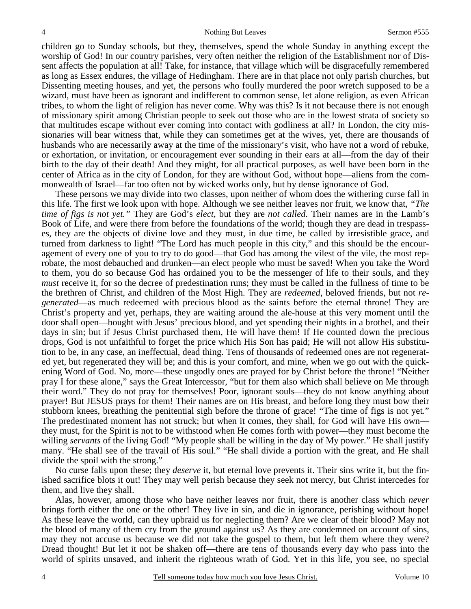children go to Sunday schools, but they, themselves, spend the whole Sunday in anything except the worship of God! In our country parishes, very often neither the religion of the Establishment nor of Dissent affects the population at all! Take, for instance, that village which will be disgracefully remembered as long as Essex endures, the village of Hedingham. There are in that place not only parish churches, but Dissenting meeting houses, and yet, the persons who foully murdered the poor wretch supposed to be a wizard, must have been as ignorant and indifferent to common sense, let alone religion, as even African tribes, to whom the light of religion has never come. Why was this? Is it not because there is not enough of missionary spirit among Christian people to seek out those who are in the lowest strata of society so that multitudes escape without ever coming into contact with godliness at all? In London, the city missionaries will bear witness that, while they can sometimes get at the wives, yet, there are thousands of husbands who are necessarily away at the time of the missionary's visit, who have not a word of rebuke, or exhortation, or invitation, or encouragement ever sounding in their ears at all—from the day of their birth to the day of their death! And they might, for all practical purposes, as well have been born in the center of Africa as in the city of London, for they are without God, without hope—aliens from the commonwealth of Israel—far too often not by wicked works only, but by dense ignorance of God.

These persons we may divide into two classes, upon neither of whom does the withering curse fall in this life. The first we look upon with hope. Although we see neither leaves nor fruit, we know that, *"The time of figs is not yet."* They are God's *elect*, but they are *not called*. Their names are in the Lamb's Book of Life, and were there from before the foundations of the world; though they are dead in trespasses, they are the objects of divine love and they must, in due time, be called by irresistible grace, and turned from darkness to light! "The Lord has much people in this city," and this should be the encouragement of every one of you to try to do good—that God has among the vilest of the vile, the most reprobate, the most debauched and drunken—an elect people who must be saved! When you take the Word to them, you do so because God has ordained you to be the messenger of life to their souls, and they *must* receive it, for so the decree of predestination runs; they must be called in the fullness of time to be the brethren of Christ, and children of the Most High. They are *redeemed*, beloved friends, but not *regenerated*—as much redeemed with precious blood as the saints before the eternal throne! They are Christ's property and yet, perhaps, they are waiting around the ale-house at this very moment until the door shall open—bought with Jesus' precious blood, and yet spending their nights in a brothel, and their days in sin; but if Jesus Christ purchased them, He will have them! If He counted down the precious drops, God is not unfaithful to forget the price which His Son has paid; He will not allow His substitution to be, in any case, an ineffectual, dead thing. Tens of thousands of redeemed ones are not regenerated yet, but regenerated they will be; and this is your comfort, and mine, when we go out with the quickening Word of God. No, more—these ungodly ones are prayed for by Christ before the throne! "Neither pray I for these alone," says the Great Intercessor, "but for them also which shall believe on Me through their word." They do not pray for themselves! Poor, ignorant souls—they do not know anything about prayer! But JESUS prays for them! Their names are on His breast, and before long they must bow their stubborn knees, breathing the penitential sigh before the throne of grace! "The time of figs is not yet." The predestinated moment has not struck; but when it comes, they shall, for God will have His own they must, for the Spirit is not to be withstood when He comes forth with power—they must become the willing *servants* of the living God! "My people shall be willing in the day of My power." He shall justify many. "He shall see of the travail of His soul." "He shall divide a portion with the great, and He shall divide the spoil with the strong."

No curse falls upon these; they *deserve* it, but eternal love prevents it. Their sins write it, but the finished sacrifice blots it out! They may well perish because they seek not mercy, but Christ intercedes for them, and live they shall.

Alas, however, among those who have neither leaves nor fruit, there is another class which *never* brings forth either the one or the other! They live in sin, and die in ignorance, perishing without hope! As these leave the world, can they upbraid us for neglecting them? Are we clear of their blood? May not the blood of many of them cry from the ground against us? As they are condemned on account of sins, may they not accuse us because we did not take the gospel to them, but left them where they were? Dread thought! But let it not be shaken off—there are tens of thousands every day who pass into the world of spirits unsaved, and inherit the righteous wrath of God. Yet in this life, you see, no special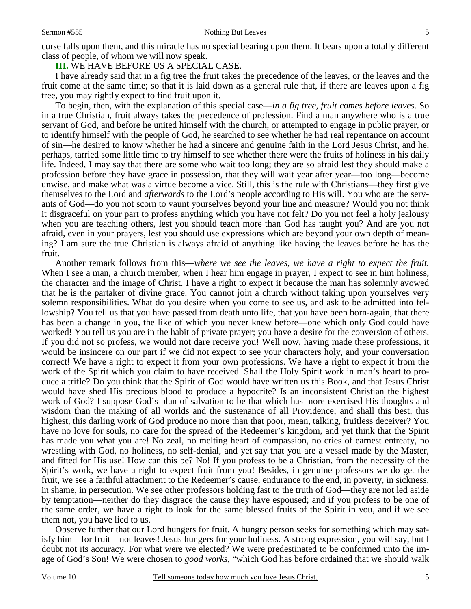curse falls upon them, and this miracle has no special bearing upon them. It bears upon a totally different class of people, of whom we will now speak.

**III.** WE HAVE BEFORE US A SPECIAL CASE.

I have already said that in a fig tree the fruit takes the precedence of the leaves, or the leaves and the fruit come at the same time; so that it is laid down as a general rule that, if there are leaves upon a fig tree, you may rightly expect to find fruit upon it.

To begin, then, with the explanation of this special case—*in a fig tree, fruit comes before leaves*. So in a true Christian, fruit always takes the precedence of profession. Find a man anywhere who is a true servant of God, and before he united himself with the church, or attempted to engage in public prayer, or to identify himself with the people of God, he searched to see whether he had real repentance on account of sin—he desired to know whether he had a sincere and genuine faith in the Lord Jesus Christ, and he, perhaps, tarried some little time to try himself to see whether there were the fruits of holiness in his daily life. Indeed, I may say that there are some who wait too long; they are so afraid lest they should make a profession before they have grace in possession, that they will wait year after year—too long—become unwise, and make what was a virtue become a vice. Still, this is the rule with Christians—they first give themselves to the Lord and *afterwards* to the Lord's people according to His will. You who are the servants of God—do you not scorn to vaunt yourselves beyond your line and measure? Would you not think it disgraceful on your part to profess anything which you have not felt? Do you not feel a holy jealousy when you are teaching others, lest you should teach more than God has taught you? And are you not afraid, even in your prayers, lest you should use expressions which are beyond your own depth of meaning? I am sure the true Christian is always afraid of anything like having the leaves before he has the fruit.

Another remark follows from this—*where we see the leaves, we have a right to expect the fruit.* When I see a man, a church member, when I hear him engage in prayer, I expect to see in him holiness, the character and the image of Christ. I have a right to expect it because the man has solemnly avowed that he is the partaker of divine grace. You cannot join a church without taking upon yourselves very solemn responsibilities. What do you desire when you come to see us, and ask to be admitted into fellowship? You tell us that you have passed from death unto life, that you have been born-again, that there has been a change in you, the like of which you never knew before—one which only God could have worked! You tell us you are in the habit of private prayer; you have a desire for the conversion of others. If you did not so profess, we would not dare receive you! Well now, having made these professions, it would be insincere on our part if we did not expect to see your characters holy, and your conversation correct! We have a right to expect it from your own professions. We have a right to expect it from the work of the Spirit which you claim to have received. Shall the Holy Spirit work in man's heart to produce a trifle? Do you think that the Spirit of God would have written us this Book, and that Jesus Christ would have shed His precious blood to produce a hypocrite? Is an inconsistent Christian the highest work of God? I suppose God's plan of salvation to be that which has more exercised His thoughts and wisdom than the making of all worlds and the sustenance of all Providence; and shall this best, this highest, this darling work of God produce no more than that poor, mean, talking, fruitless deceiver? You have no love for souls, no care for the spread of the Redeemer's kingdom, and yet think that the Spirit has made you what you are! No zeal, no melting heart of compassion, no cries of earnest entreaty, no wrestling with God, no holiness, no self-denial, and yet say that you are a vessel made by the Master, and fitted for His use! How can this be? No! If you profess to be a Christian, from the necessity of the Spirit's work, we have a right to expect fruit from you! Besides, in genuine professors we do get the fruit, we see a faithful attachment to the Redeemer's cause, endurance to the end, in poverty, in sickness, in shame, in persecution. We see other professors holding fast to the truth of God—they are not led aside by temptation—neither do they disgrace the cause they have espoused; and if you profess to be one of the same order, we have a right to look for the same blessed fruits of the Spirit in you, and if we see them not, you have lied to us.

Observe further that our Lord hungers for fruit. A hungry person seeks for something which may satisfy him—for fruit—not leaves! Jesus hungers for your holiness. A strong expression, you will say, but I doubt not its accuracy. For what were we elected? We were predestinated to be conformed unto the image of God's Son! We were chosen to *good works*, "which God has before ordained that we should walk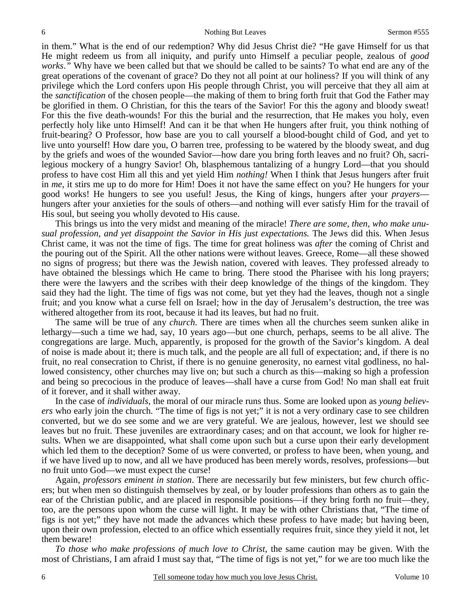in them." What is the end of our redemption? Why did Jesus Christ die? "He gave Himself for us that He might redeem us from all iniquity, and purify unto Himself a peculiar people, zealous of *good works*.*"* Why have we been called but that we should be called to be saints? To what end are any of the great operations of the covenant of grace? Do they not all point at our holiness? If you will think of any privilege which the Lord confers upon His people through Christ, you will perceive that they all aim at the *sanctification* of the chosen people—the making of them to bring forth fruit that God the Father may be glorified in them. O Christian, for this the tears of the Savior! For this the agony and bloody sweat! For this the five death-wounds! For this the burial and the resurrection, that He makes you holy, even perfectly holy like unto Himself! And can it be that when He hungers after fruit, you think nothing of fruit-bearing? O Professor, how base are you to call yourself a blood-bought child of God, and yet to live unto yourself! How dare you, O barren tree, professing to be watered by the bloody sweat, and dug by the griefs and woes of the wounded Savior—how dare you bring forth leaves and no fruit? Oh, sacrilegious mockery of a hungry Savior! Oh, blasphemous tantalizing of a hungry Lord—that you should profess to have cost Him all this and yet yield Him *nothing!* When I think that Jesus hungers after fruit in *me*, it stirs me up to do more for Him! Does it not have the same effect on you? He hungers for your good works! He hungers to see you useful! Jesus, the King of kings, hungers after your *prayers* hungers after your anxieties for the souls of others—and nothing will ever satisfy Him for the travail of His soul, but seeing you wholly devoted to His cause.

This brings us into the very midst and meaning of the miracle! *There are some, then, who make unusual profession, and yet disappoint the Savior in His just expectations.* The Jews did this. When Jesus Christ came, it was not the time of figs. The time for great holiness was *after* the coming of Christ and the pouring out of the Spirit. All the other nations were without leaves. Greece, Rome—all these showed no signs of progress; but there was the Jewish nation, covered with leaves. They professed already to have obtained the blessings which He came to bring. There stood the Pharisee with his long prayers; there were the lawyers and the scribes with their deep knowledge of the things of the kingdom. They said they had the light. The time of figs was not come, but yet they had the leaves, though not a single fruit; and you know what a curse fell on Israel; how in the day of Jerusalem's destruction, the tree was withered altogether from its root, because it had its leaves, but had no fruit.

The same will be true of any *church*. There are times when all the churches seem sunken alike in lethargy—such a time we had, say, 10 years ago—but one church, perhaps, seems to be all alive. The congregations are large. Much, apparently, is proposed for the growth of the Savior's kingdom. A deal of noise is made about it; there is much talk, and the people are all full of expectation; and, if there is no fruit, no real consecration to Christ, if there is no genuine generosity, no earnest vital godliness, no hallowed consistency, other churches may live on; but such a church as this—making so high a profession and being so precocious in the produce of leaves—shall have a curse from God! No man shall eat fruit of it forever, and it shall wither away.

In the case of *individuals*, the moral of our miracle runs thus. Some are looked upon as *young believers* who early join the church. "The time of figs is not yet;" it is not a very ordinary case to see children converted, but we do see some and we are very grateful. We are jealous, however, lest we should see leaves but no fruit. These juveniles are extraordinary cases; and on that account, we look for higher results. When we are disappointed, what shall come upon such but a curse upon their early development which led them to the deception? Some of us were converted, or profess to have been, when young, and if we have lived up to now, and all we have produced has been merely words, resolves, professions—but no fruit unto God—we must expect the curse!

Again, *professors eminent in station*. There are necessarily but few ministers, but few church officers; but when men so distinguish themselves by zeal, or by louder professions than others as to gain the ear of the Christian public, and are placed in responsible positions—if they bring forth no fruit—they, too, are the persons upon whom the curse will light. It may be with other Christians that, "The time of figs is not yet;" they have not made the advances which these profess to have made; but having been, upon their own profession, elected to an office which essentially requires fruit, since they yield it not, let them beware!

*To those who make professions of much love to Christ,* the same caution may be given. With the most of Christians, I am afraid I must say that, "The time of figs is not yet," for we are too much like the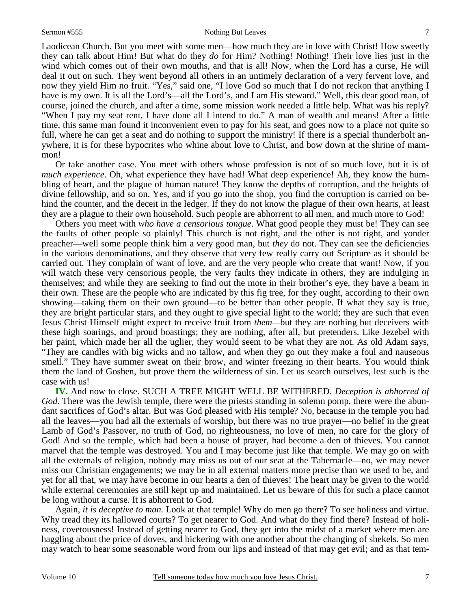Laodicean Church. But you meet with some men—how much they are in love with Christ! How sweetly they can talk about Him! But what do they *do* for Him? Nothing! Nothing! Their love lies just in the wind which comes out of their own mouths, and that is all! Now, when the Lord has a curse, He will deal it out on such. They went beyond all others in an untimely declaration of a very fervent love, and now they yield Him no fruit. "Yes," said one, "I love God so much that I do not reckon that anything I have is my own. It is all the Lord's—all the Lord's, and I am His steward." Well, this dear good man, of course, joined the church, and after a time, some mission work needed a little help. What was his reply? "When I pay my seat rent, I have done all I intend to do." A man of wealth and means! After a little time, this same man found it inconvenient even to pay for his seat, and goes now to a place not quite so full, where he can get a seat and do nothing to support the ministry! If there is a special thunderbolt anywhere, it is for these hypocrites who whine about love to Christ, and bow down at the shrine of mammon!

Or take another case. You meet with others whose profession is not of so much love, but it is of *much experience*. Oh, what experience they have had! What deep experience! Ah, they know the humbling of heart, and the plague of human nature! They know the depths of corruption, and the heights of divine fellowship, and so on. Yes, and if you go into the shop, you find the corruption is carried on behind the counter, and the deceit in the ledger. If they do not know the plague of their own hearts, at least they are a plague to their own household. Such people are abhorrent to all men, and much more to God!

Others you meet with *who have a censorious tongue*. What good people they must be! They can see the faults of other people so plainly! This church is not right, and the other is not right, and yonder preacher—well some people think him a very good man, but *they* do not. They can see the deficiencies in the various denominations, and they observe that very few really carry out Scripture as it should be carried out. They complain of want of love, and are the very people who create that want! Now, if you will watch these very censorious people, the very faults they indicate in others, they are indulging in themselves; and while they are seeking to find out the mote in their brother's eye, they have a beam in their own. These are the people who are indicated by this fig tree, for they ought, according to their own showing—taking them on their own ground—to be better than other people. If what they say is true, they are bright particular stars, and they ought to give special light to the world; they are such that even Jesus Christ Himself might expect to receive fruit from *them—*but they are nothing but deceivers with these high soarings, and proud boastings; they are nothing, after all, but pretenders. Like Jezebel with her paint, which made her all the uglier, they would seem to be what they are not. As old Adam says, "They are candles with big wicks and no tallow, and when they go out they make a foul and nauseous smell." They have summer sweat on their brow, and winter freezing in their hearts. You would think them the land of Goshen, but prove them the wilderness of sin. Let us search ourselves, lest such is the case with us!

**IV.** And now to close. SUCH A TREE MIGHT WELL BE WITHERED. *Deception is abhorred of God*. There was the Jewish temple, there were the priests standing in solemn pomp, there were the abundant sacrifices of God's altar. But was God pleased with His temple? No, because in the temple you had all the leaves—you had all the externals of worship, but there was no true prayer—no belief in the great Lamb of God's Passover, no truth of God, no righteousness, no love of men, no care for the glory of God! And so the temple, which had been a house of prayer, had become a den of thieves. You cannot marvel that the temple was destroyed. You and I may become just like that temple. We may go on with all the externals of religion, nobody may miss us out of our seat at the Tabernacle—no, we may never miss our Christian engagements; we may be in all external matters more precise than we used to be, and yet for all that, we may have become in our hearts a den of thieves! The heart may be given to the world while external ceremonies are still kept up and maintained. Let us beware of this for such a place cannot be long without a curse. It is abhorrent to God.

Again, *it is deceptive to man.* Look at that temple! Why do men go there? To see holiness and virtue. Why tread they its hallowed courts? To get nearer to God. And what do they find there? Instead of holiness, covetousness! Instead of getting nearer to God, they get into the midst of a market where men are haggling about the price of doves, and bickering with one another about the changing of shekels. So men may watch to hear some seasonable word from our lips and instead of that may get evil; and as that tem